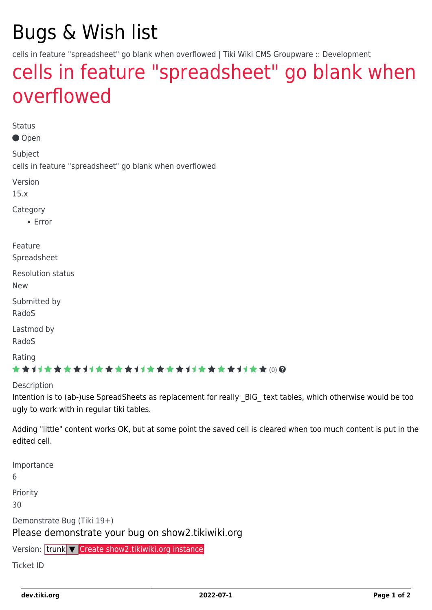# Bugs & Wish list

cells in feature "spreadsheet" go blank when overflowed | Tiki Wiki CMS Groupware :: Development

## [cells in feature "spreadsheet" go blank when](https://dev.tiki.org/item6277-cells-in-feature-spreadsheet-go-blank-when-overflowed) [overflowed](https://dev.tiki.org/item6277-cells-in-feature-spreadsheet-go-blank-when-overflowed)

Status

● Open

Subject

cells in feature "spreadsheet" go blank when overflowed

Version

15.x

Category

• Error

Feature

Spreadsheet

Resolution status

New

Submitted by RadoS

Lastmod by RadoS

Rating

#### \*\*\*\*\*\*\*\*\*\*\*\*\*\*\*\*\*\*\*\*\*\*\*\*\*\*\*\*\*\*

#### Description

Intention is to (ab-)use SpreadSheets as replacement for really \_BIG\_ text tables, which otherwise would be too ugly to work with in regular tiki tables.

Adding "little" content works OK, but at some point the saved cell is cleared when too much content is put in the edited cell.

Importance 6

Priority

30

Demonstrate Bug (Tiki 19+)

Please demonstrate your bug on show2.tikiwiki.org

Version: trunk ▼ [Create show2.tikiwiki.org instance](#page--1-0)

Ticket ID